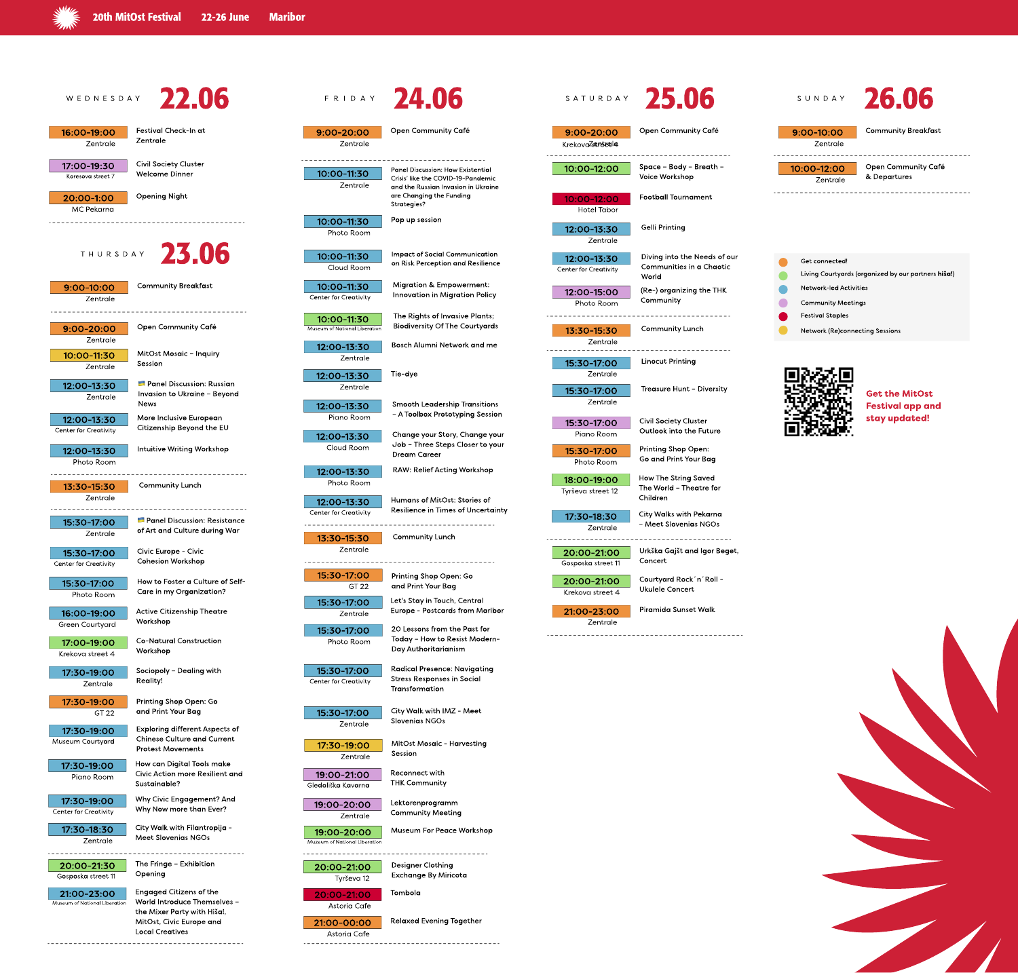**WARREN** 

# Open Community Café 10:00-12:00 | Space - Body - Breath -Voice Workshop

| Get        |
|------------|
| Livi       |
| <b>Net</b> |
| Cor        |
| Fes        |
| <b>Net</b> |
|            |







| WEDNESDAY                                    | 22.06                                                                                                                                               |                                                                   | FRIDAY 24.06                                                                                                          |                                             | SATURDAY 25.06                                                           | SUNDAY                                                            | 26.06                                           |
|----------------------------------------------|-----------------------------------------------------------------------------------------------------------------------------------------------------|-------------------------------------------------------------------|-----------------------------------------------------------------------------------------------------------------------|---------------------------------------------|--------------------------------------------------------------------------|-------------------------------------------------------------------|-------------------------------------------------|
| 16:00-19:00<br>Zentrale                      | <b>Festival Check-In at</b><br>Zentrale                                                                                                             | $9:00 - 20:00$<br>Zentrale                                        | <b>Open Community Café</b>                                                                                            | $9:00 - 20:00$<br>KrekovaZstrutetile        | <b>Open Community Café</b>                                               | $9:00 - 10:00$<br>Zentrale                                        | <b>Community Breakfd</b>                        |
| 17:00-19:30<br>Koresova street 7             | <b>Civil Society Cluster</b><br><b>Welcome Dinner</b>                                                                                               | 10:00-11:30<br>Zentrale                                           | <b>Panel Discussion: How Existential</b><br>Crisis' like the COVID-19-Pandemic<br>and the Russian Invasion in Ukraine | 10:00-12:00                                 | Space - Body - Breath -<br><b>Voice Workshop</b>                         | 10:00-12:00<br>Zentrale                                           | <b>Open Community C</b><br>& Departures         |
| 20:00-1:00<br>MC Pekarna                     | <b>Opening Night</b>                                                                                                                                |                                                                   | are Changing the Funding<br>Strategies?                                                                               | 10:00-12:00<br><b>Hotel Tabor</b>           | <b>Football Tournament</b>                                               |                                                                   |                                                 |
|                                              |                                                                                                                                                     | 10:00-11:30<br>Photo Room                                         | Pop up session                                                                                                        | 12:00-13:30<br>Zentrale                     | <b>Gelli Printing</b>                                                    |                                                                   |                                                 |
| THURSDAY                                     | 23.06                                                                                                                                               | 10:00-11:30<br>Cloud Room                                         | <b>Impact of Social Communication</b><br>on Risk Perception and Resilience                                            | 12:00-13:30<br><b>Center for Creativity</b> | Diving into the Needs of our<br><b>Communities in a Chaotic</b><br>World | Get connected!                                                    | Living Courtyards (organized by our partner     |
| $9:00 - 10:00$<br>Zentrale                   | <b>Community Breakfast</b>                                                                                                                          | 10:00-11:30<br><b>Center for Creativity</b>                       | <b>Migration &amp; Empowerment:</b><br><b>Innovation in Migration Policy</b>                                          | 12:00-15:00<br>Photo Room                   | (Re-) organizing the THK<br>Community                                    | <b>Network-led Activities</b><br><b>Community Meetings</b>        |                                                 |
| 9:00-20:00<br>Zentrale                       | <b>Open Community Café</b>                                                                                                                          | 10:00-11:30<br>Museum of National Liberation<br>12:00-13:30       | The Rights of Invasive Plants;<br><b>Biodiversity Of The Courtyards</b><br><b>Bosch Alumni Network and me</b>         | 13:30-15:30<br>Zentrale                     | <b>Community Lunch</b>                                                   | <b>Festival Staples</b><br><b>Network (Re)connecting Sessions</b> |                                                 |
| 10:00-11:30<br>Zentrale                      | <b>MitOst Mosaic - Inquiry</b><br>Session                                                                                                           | Zentrale<br>12:00-13:30                                           | Tie-dye                                                                                                               | 15:30-17:00<br>Zentrale                     | <b>Linocut Printing</b>                                                  |                                                                   |                                                 |
| 12:00-13:30<br>Zentrale                      | <b>E</b> Panel Discussion: Russian<br>Invasion to Ukraine - Beyond<br><b>News</b>                                                                   | Zentrale<br>12:00-13:30                                           | <b>Smooth Leadership Transitions</b><br>- A Toolbox Prototyping Session                                               | 15:30-17:00<br>Zentrale                     | Treasure Hunt - Diversity                                                |                                                                   | <b>Get the MitOst</b><br><b>Festival app ar</b> |
| 12:00-13:30<br><b>Center for Creativity</b>  | More Inclusive European<br>Citizenship Beyond the EU                                                                                                | Piano Room<br>12:00-13:30                                         | Change your Story, Change your<br>Job - Three Steps Closer to your                                                    | 15:30-17:00<br>Piano Room                   | <b>Civil Society Cluster</b><br>Outlook into the Future                  | n av tr                                                           | stay updated!                                   |
| 12:00-13:30<br>Photo Room                    | <b>Intuitive Writing Workshop</b>                                                                                                                   | Cloud Room<br>12:00-13:30                                         | <b>Dream Career</b><br><b>RAW: Relief Acting Workshop</b>                                                             | 15:30-17:00<br>Photo Room                   | <b>Printing Shop Open:</b><br>Go and Print Your Bag                      |                                                                   |                                                 |
| 13:30-15:30<br>Zentrale                      | <b>Community Lunch</b>                                                                                                                              | Photo Room<br>12:00-13:30                                         | Humans of MitOst: Stories of                                                                                          | 18:00-19:00<br>Tyrševa street 12            | <b>How The String Saved</b><br>The World - Theatre for<br>Children       |                                                                   |                                                 |
| 15:30-17:00<br>Zentrale                      | <b>E</b> Panel Discussion: Resistance<br>of Art and Culture during War                                                                              | <b>Center for Creativity</b><br>13:30-15:30                       | Resilience in Times of Uncertainty<br><b>Community Lunch</b>                                                          | 17:30-18:30<br>Zentrale                     | <b>City Walks with Pekarna</b><br>- Meet Slovenias NGOs                  |                                                                   |                                                 |
| 15:30-17:00<br><b>Center for Creativity</b>  | <b>Civic Europe - Civic</b><br><b>Cohesion Workshop</b>                                                                                             | Zentrale                                                          |                                                                                                                       | 20:00-21:00<br>Gosposka street 11           | Urkška Gajšt and Igor Beget,<br>Concert                                  |                                                                   |                                                 |
| 15:30-17:00<br>Photo Room                    | How to Foster a Culture of Self-<br>Care in my Organization?                                                                                        | 15:30-17:00<br>GT 22<br>15:30-17:00                               | <b>Printing Shop Open: Go</b><br>and Print Your Bag<br>Let's Stay in Touch, Central                                   | 20:00-21:00<br>Krekova street 4             | Courtyard Rock'n' Roll -<br><b>Ukulele Concert</b>                       |                                                                   |                                                 |
| 16:00-19:00<br><b>Green Courtyard</b>        | <b>Active Citizenship Theatre</b><br>Workshop                                                                                                       | Zentrale<br>15:30-17:00                                           | <b>Europe - Postcards from Maribor</b><br>20 Lessons from the Past for                                                | 21:00-23:00<br>Zentrale                     | <b>Piramida Sunset Walk</b>                                              |                                                                   |                                                 |
| 17:00-19:00<br>Krekova street 4              | <b>Co-Natural Construction</b><br>Workshop                                                                                                          | Photo Room                                                        | Today - How to Resist Modern-<br>Day Authoritarianism                                                                 |                                             |                                                                          |                                                                   |                                                 |
| 17:30-19:00<br>Zentrale                      | Sociopoly - Dealing with<br><b>Reality!</b>                                                                                                         | 15:30-17:00<br><b>Center for Creativity</b>                       | <b>Radical Presence: Navigating</b><br><b>Stress Responses in Social</b><br>Transformation                            |                                             |                                                                          |                                                                   |                                                 |
| 17:30-19:00<br>GT 22                         | <b>Printing Shop Open: Go</b><br>and Print Your Bag<br><b>Exploring different Aspects of</b>                                                        | 15:30-17:00<br>Zentrale                                           | <b>City Walk with IMZ - Meet</b><br><b>Slovenias NGOs</b>                                                             |                                             |                                                                          |                                                                   |                                                 |
| 17:30-19:00<br>Museum Courtyard              | <b>Chinese Culture and Current</b><br><b>Protest Movements</b>                                                                                      | 17:30-19:00<br>Zentrale                                           | <b>MitOst Mosaic - Harvesting</b><br>Session                                                                          |                                             |                                                                          |                                                                   |                                                 |
| 17:30-19:00<br>Piano Room                    | How can Digital Tools make<br><b>Civic Action more Resilient and</b><br>Sustainable?                                                                | 19:00-21:00<br>Gledališka Kavarna                                 | Reconnect with<br><b>THK Community</b>                                                                                |                                             |                                                                          |                                                                   |                                                 |
| 17:30-19:00<br><b>Center for Creativity</b>  | <b>Why Civic Engagement? And</b><br>Why Now more than Ever?                                                                                         | 19:00-20:00<br>Zentrale                                           | Lektorenprogramm<br><b>Community Meeting</b>                                                                          |                                             |                                                                          |                                                                   |                                                 |
| 17:30-18:30<br>Zentrale                      | City Walk with Filantropija -<br><b>Meet Slovenias NGOs</b>                                                                                         | 19:00-20:00<br>Muzeum of National Liberation                      | <b>Museum For Peace Workshop</b>                                                                                      |                                             |                                                                          |                                                                   |                                                 |
| 20:00-21:30<br>Gosposka street 11            | The Fringe - Exhibition<br>Opening                                                                                                                  | 20:00-21:00<br>Tyrševa 12                                         | <b>Designer Clothing</b><br>Exchange By Miricota                                                                      |                                             |                                                                          |                                                                   |                                                 |
| 21:00-23:00<br>Museum of National Liberation | <b>Engaged Citizens of the</b><br>World Introduce Themselves -<br>the Mixer Party with Hiša!,<br>MitOst, Civic Europe and<br><b>Local Creatives</b> | 20:00-21:00<br>Astoria Cafe<br>21:00-00:00<br><b>Astoria Cafe</b> | Tombola<br><b>Relaxed Evening Together</b>                                                                            |                                             |                                                                          |                                                                   |                                                 |



# 24.06 SATURDAY 25.06



Community Breakfast

Open Community Café & Departures

Living Courtyards (organized by our partners hiša!)



Get the MitOst Festival app and stay updated!

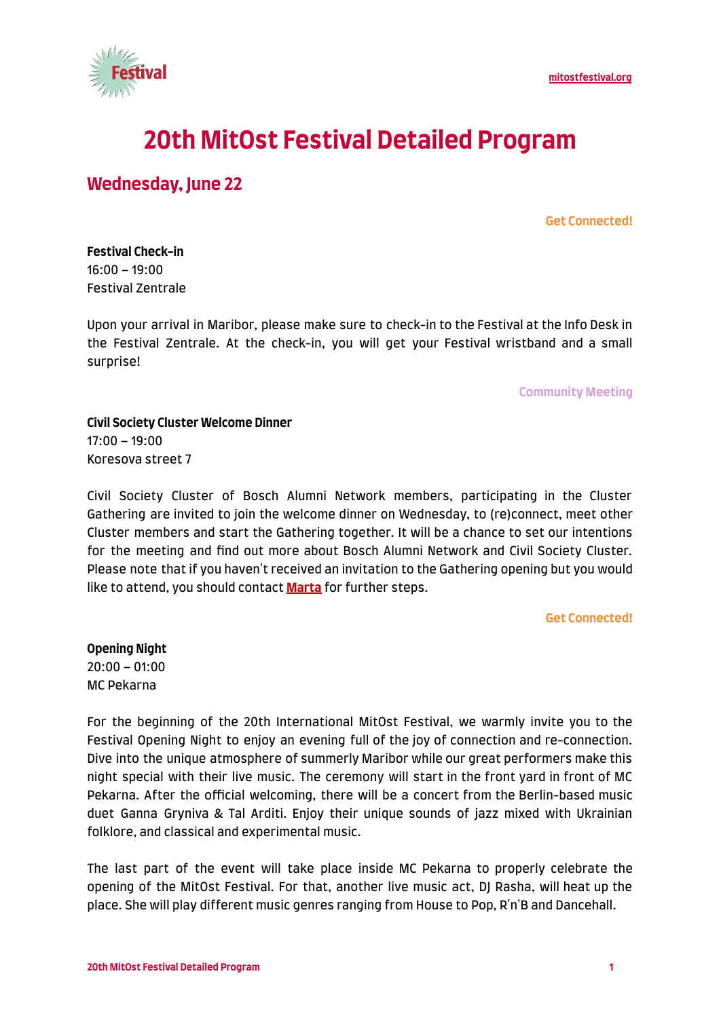

# **20th MitOst Festival Detailed Program**

# **Wednesday, June 22**

#### **Get Connected!**

**Festival Check-in** 16:00 – 19:00 Festival Zentrale

Upon your arrival in Maribor, please make sure to check-in to the Festival at the Info Desk in the Festival Zentrale. At the check-in, you will get your Festival wristband and a small surprise!

**Community Meeting**

#### **Civil Society Cluster Welcome Dinner** 17:00 – 19:00 Koresova street 7

Civil Society Cluster of Bosch Alumni Network members, participating in the Cluster Gathering are invited to join the welcome dinner on Wednesday, to (re)connect, meet other Cluster members and start the Gathering together. It will be a chance to set our intentions for the meeting and find out more about Bosch Alumni Network and Civil Society Cluster. Please note that if you haven't received an invitation to the Gathering opening but you would like to attend, you should contact **[Marta](mailto:kanarkiewicz@mitost.org)** for further steps.

#### **Get Connected!**

**Opening Night** 20:00 – 01:00 MC Pekarna

For the beginning of the 20th International MitOst Festival, we warmly invite you to the Festival Opening Night to enjoy an evening full of the joy of connection and re-connection. Dive into the unique atmosphere of summerly Maribor while our great performers make this night special with their live music. The ceremony will start in the front yard in front of MC Pekarna. After the official welcoming, there will be a concert from the Berlin-based music duet Ganna Gryniva & Tal Arditi. Enjoy their unique sounds of jazz mixed with Ukrainian folklore, and classical and experimental music.

The last part of the event will take place inside MC Pekarna to properly celebrate the opening of the MitOst Festival. For that, another live music act, DJ Rasha, will heat up the place. She will play different music genres ranging from House to Pop, R'n'B and Dancehall.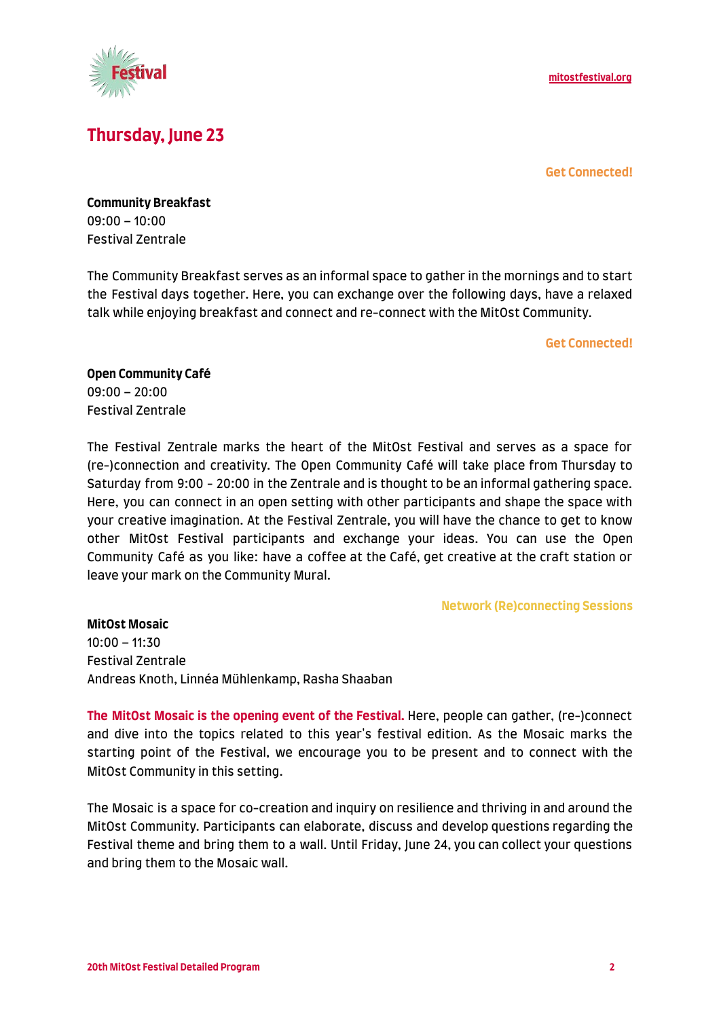

# **Thursday, June 23**

#### **Get Connected!**

**Community Breakfast** 09:00 – 10:00 Festival Zentrale

The Community Breakfast serves as an informal space to gather in the mornings and to start the Festival days together. Here, you can exchange over the following days, have a relaxed talk while enjoying breakfast and connect and re-connect with the MitOst Community.

**Get Connected!**

**Open Community Café** 09:00 – 20:00 Festival Zentrale

The Festival Zentrale marks the heart of the MitOst Festival and serves as a space for (re-)connection and creativity. The Open Community Café will take place from Thursday to Saturday from 9:00 - 20:00 in the Zentrale and is thought to be an informal gathering space. Here, you can connect in an open setting with other participants and shape the space with your creative imagination. At the Festival Zentrale, you will have the chance to get to know other MitOst Festival participants and exchange your ideas. You can use the Open Community Café as you like: have a coffee at the Café, get creative at the craft station or leave your mark on the Community Mural.

**Network (Re)connecting Sessions**

**MitOst Mosaic** 10:00 – 11:30 Festival Zentrale Andreas Knoth, Linnéa Mühlenkamp, Rasha Shaaban

**The MitOst Mosaic is the opening event of the Festival.** Here, people can gather, (re-)connect and dive into the topics related to this year's festival edition. As the Mosaic marks the starting point of the Festival, we encourage you to be present and to connect with the MitOst Community in this setting.

The Mosaic is a space for co-creation and inquiry on resilience and thriving in and around the MitOst Community. Participants can elaborate, discuss and develop questions regarding the Festival theme and bring them to a wall. Until Friday, June 24, you can collect your questions and bring them to the Mosaic wall.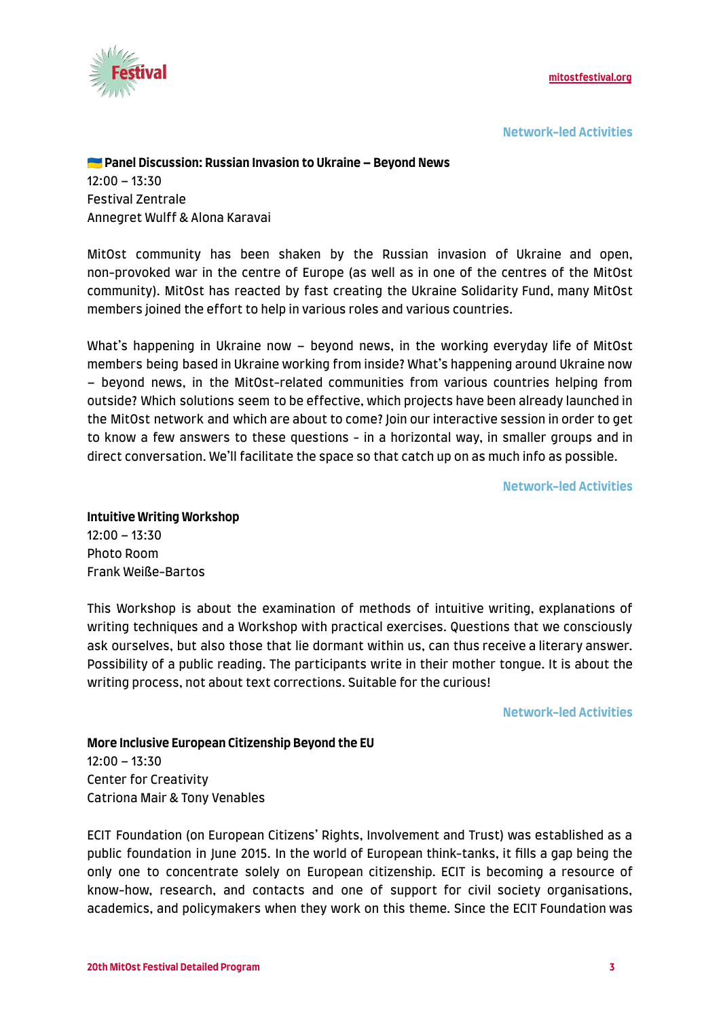

**Network-led Activities**

#### **Panel Discussion: Russian Invasion to Ukraine – Beyond News**  $12:00 - 13:30$

Festival Zentrale Annegret Wulff & Alona Karavai

MitOst community has been shaken by the Russian invasion of Ukraine and open, non-provoked war in the centre of Europe (as well as in one of the centres of the MitOst community). MitOst has reacted by fast creating the Ukraine Solidarity Fund, many MitOst members joined the effort to help in various roles and various countries.

What's happening in Ukraine now – beyond news, in the working everyday life of MitOst members being based in Ukraine working from inside? What's happening around Ukraine now – beyond news, in the MitOst-related communities from various countries helping from outside? Which solutions seem to be effective, which projects have been already launched in the MitOst network and which are about to come? Join our interactive session in order to get to know a few answers to these questions - in a horizontal way, in smaller groups and in direct conversation. We'll facilitate the space so that catch up on as much info as possible.

**Network-led Activities**

#### **Intuitive Writing Workshop** 12:00 – 13:30 Photo Room Frank Weiße-Bartos

This Workshop is about the examination of methods of intuitive writing, explanations of writing techniques and a Workshop with practical exercises. Questions that we consciously ask ourselves, but also those that lie dormant within us, can thus receive a literary answer. Possibility of a public reading. The participants write in their mother tongue. It is about the writing process, not about text corrections. Suitable for the curious!

**Network-led Activities**

### **More Inclusive European Citizenship Beyond the EU** 12:00 – 13:30 Center for Creativity Catriona Mair & Tony Venables

ECIT Foundation (on European Citizens' Rights, Involvement and Trust) was established as a public foundation in June 2015. In the world of European think-tanks, it fills a gap being the only one to concentrate solely on European citizenship. ECIT is becoming a resource of know-how, research, and contacts and one of support for civil society organisations, academics, and policymakers when they work on this theme. Since the ECIT Foundation was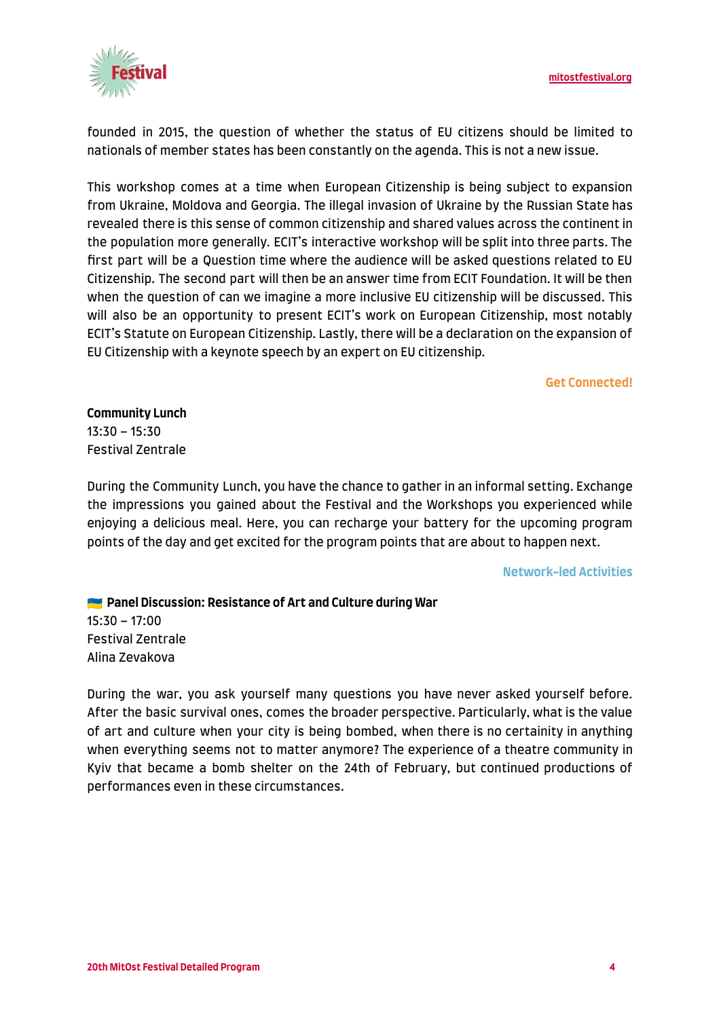

founded in 2015, the question of whether the status of EU citizens should be limited to nationals of member states has been constantly on the agenda. This is not a new issue.

This workshop comes at a time when European Citizenship is being subject to expansion from Ukraine, Moldova and Georgia. The illegal invasion of Ukraine by the Russian State has revealed there is this sense of common citizenship and shared values across the continent in the population more generally. ECIT's interactive workshop will be split into three parts. The first part will be a Question time where the audience will be asked questions related to EU Citizenship. The second part will then be an answer time from ECIT Foundation. It will be then when the question of can we imagine a more inclusive EU citizenship will be discussed. This will also be an opportunity to present ECIT's work on European Citizenship, most notably ECIT's Statute on European Citizenship. Lastly, there will be a declaration on the expansion of EU Citizenship with a keynote speech by an expert on EU citizenship.

#### **Get Connected!**

**Community Lunch** 13:30 – 15:30 Festival Zentrale

During the Community Lunch, you have the chance to gather in an informal setting. Exchange the impressions you gained about the Festival and the Workshops you experienced while enjoying a delicious meal. Here, you can recharge your battery for the upcoming program points of the day and get excited for the program points that are about to happen next.

#### **Network-led Activities**

**Panel Discussion: Resistance of Art and Culture during War** 15:30 – 17:00 Festival Zentrale Alina Zevakova

During the war, you ask yourself many questions you have never asked yourself before. After the basic survival ones, comes the broader perspective. Particularly, what is the value of art and culture when your city is being bombed, when there is no certainity in anything when everything seems not to matter anymore? The experience of a theatre community in Kyiv that became a bomb shelter on the 24th of February, but continued productions of performances even in these circumstances.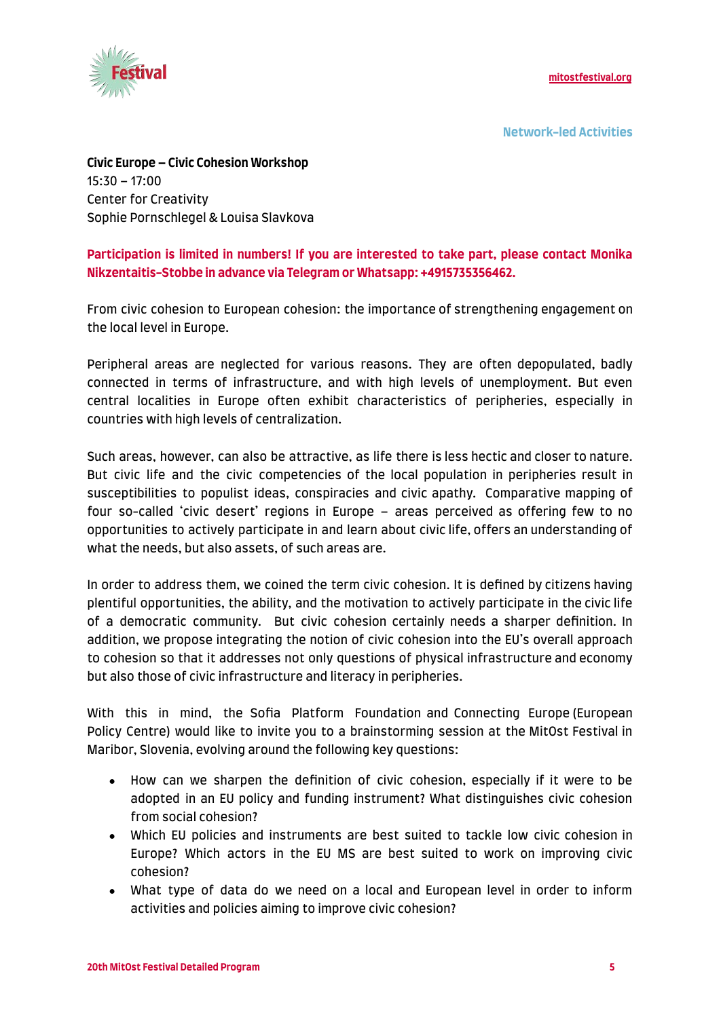

**Network-led Activities**

**Civic Europe – Civic Cohesion Workshop** 15:30 – 17:00 Center for Creativity Sophie Pornschlegel & Louisa Slavkova

#### **Participation is limited in numbers! If you are interested to take part, please contact Monika Nikzentaitis-Stobbe in advance via Telegram or Whatsapp: +4915735356462.**

From civic cohesion to European cohesion: the importance of strengthening engagement on the local level in Europe.

Peripheral areas are neglected for various reasons. They are often depopulated, badly connected in terms of infrastructure, and with high levels of unemployment. But even central localities in Europe often exhibit characteristics of peripheries, especially in countries with high levels of centralization.

Such areas, however, can also be attractive, as life there is less hectic and closer to nature. But civic life and the civic competencies of the local population in peripheries result in susceptibilities to populist ideas, conspiracies and civic apathy. Comparative mapping of four so-called 'civic desert' regions in Europe – areas perceived as offering few to no opportunities to actively participate in and learn about civic life, offers an understanding of what the needs, but also assets, of such areas are.

In order to address them, we coined the term civic cohesion. It is defined by citizens having plentiful opportunities, the ability, and the motivation to actively participate in the civic life of a democratic community. But civic cohesion certainly needs a sharper definition. In addition, we propose integrating the notion of civic cohesion into the EU's overall approach to cohesion so that it addresses not only questions of physical infrastructure and economy but also those of civic infrastructure and literacy in peripheries.

With this in mind, the Sofia Platform Foundation and Connecting Europe (European Policy Centre) would like to invite you to a brainstorming session at the MitOst Festival in Maribor, Slovenia, evolving around the following key questions:

- How can we sharpen the definition of civic cohesion, especially if it were to be adopted in an EU policy and funding instrument? What distinguishes civic cohesion from social cohesion?
- Which EU policies and instruments are best suited to tackle low civic cohesion in Europe? Which actors in the EU MS are best suited to work on improving civic cohesion?
- What type of data do we need on a local and European level in order to inform activities and policies aiming to improve civic cohesion?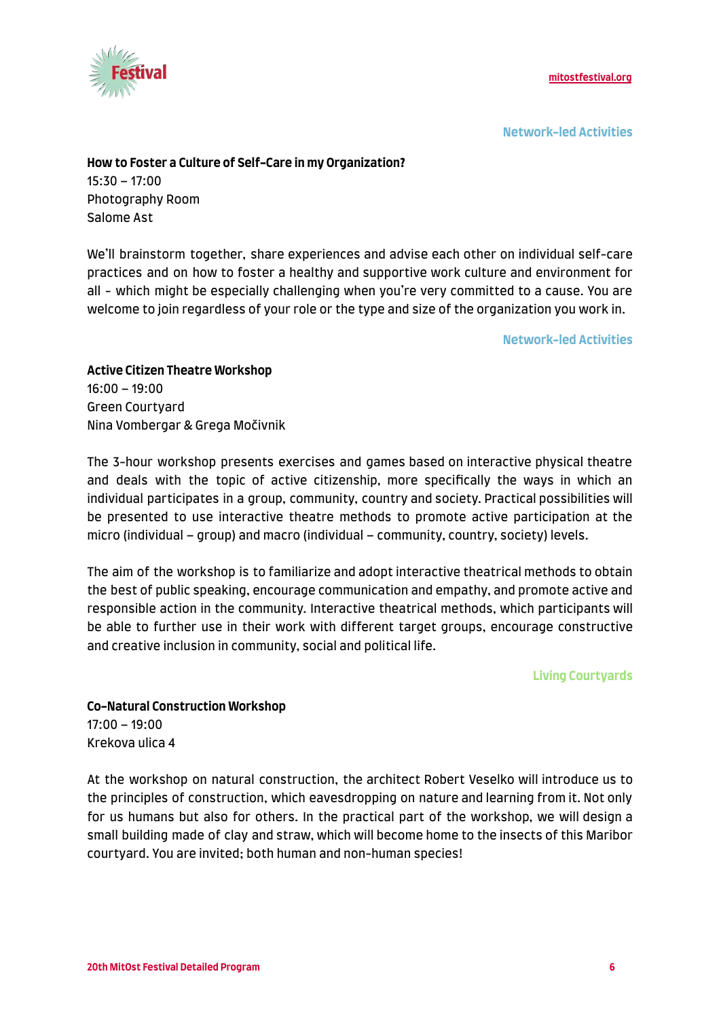

**Network-led Activities**

#### **How to Foster a Culture of Self-Care in my Organization?**

15:30 – 17:00 Photography Room Salome Ast

We'll brainstorm together, share experiences and advise each other on individual self-care practices and on how to foster a healthy and supportive work culture and environment for all - which might be especially challenging when you're very committed to a cause. You are welcome to join regardless of your role or the type and size of the organization you work in.

**Network-led Activities**

**Active Citizen Theatre Workshop** 16:00 – 19:00 Green Courtyard Nina Vombergar & Grega Močivnik

The 3-hour workshop presents exercises and games based on interactive physical theatre and deals with the topic of active citizenship, more specifically the ways in which an individual participates in a group, community, country and society. Practical possibilities will be presented to use interactive theatre methods to promote active participation at the micro (individual – group) and macro (individual – community, country, society) levels.

The aim of the workshop is to familiarize and adopt interactive theatrical methods to obtain the best of public speaking, encourage communication and empathy, and promote active and responsible action in the community. Interactive theatrical methods, which participants will be able to further use in their work with different target groups, encourage constructive and creative inclusion in community, social and political life.

**Living Courtyards**

**Co-Natural Construction Workshop** 17:00 – 19:00 Krekova ulica 4

At the workshop on natural construction, the architect Robert Veselko will introduce us to the principles of construction, which eavesdropping on nature and learning from it. Not only for us humans but also for others. In the practical part of the workshop, we will design a small building made of clay and straw, which will become home to the insects of this Maribor courtyard. You are invited; both human and non-human species!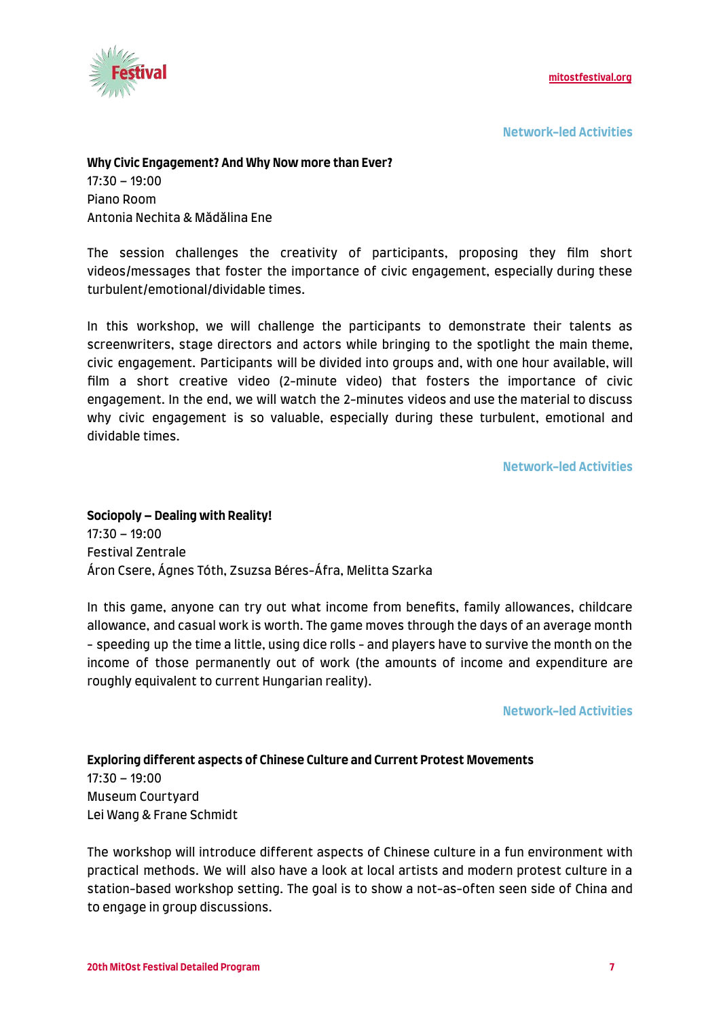

**Network-led Activities**

#### **Why Civic Engagement? And Why Now more than Ever?**

17:30 – 19:00 Piano Room Antonia Nechita & Mădălina Ene

The session challenges the creativity of participants, proposing they film short videos/messages that foster the importance of civic engagement, especially during these turbulent/emotional/dividable times.

In this workshop, we will challenge the participants to demonstrate their talents as screenwriters, stage directors and actors while bringing to the spotlight the main theme, civic engagement. Participants will be divided into groups and, with one hour available, will film a short creative video (2-minute video) that fosters the importance of civic engagement. In the end, we will watch the 2-minutes videos and use the material to discuss why civic engagement is so valuable, especially during these turbulent, emotional and dividable times.

**Network-led Activities**

**Sociopoly – Dealing with Reality!** 17:30 – 19:00 Festival Zentrale Áron Csere, Ágnes Tóth, Zsuzsa Béres-Áfra, Melitta Szarka

In this game, anyone can try out what income from benefits, family allowances, childcare allowance, and casual work is worth. The game moves through the days of an average month - speeding up the time a little, using dice rolls - and players have to survive the month on the income of those permanently out of work (the amounts of income and expenditure are roughly equivalent to current Hungarian reality).

**Network-led Activities**

**Exploring different aspects of Chinese Culture and Current Protest Movements** 17:30 – 19:00 Museum Courtyard Lei Wang & Frane Schmidt

The workshop will introduce different aspects of Chinese culture in a fun environment with practical methods. We will also have a look at local artists and modern protest culture in a station-based workshop setting. The goal is to show a not-as-often seen side of China and to engage in group discussions.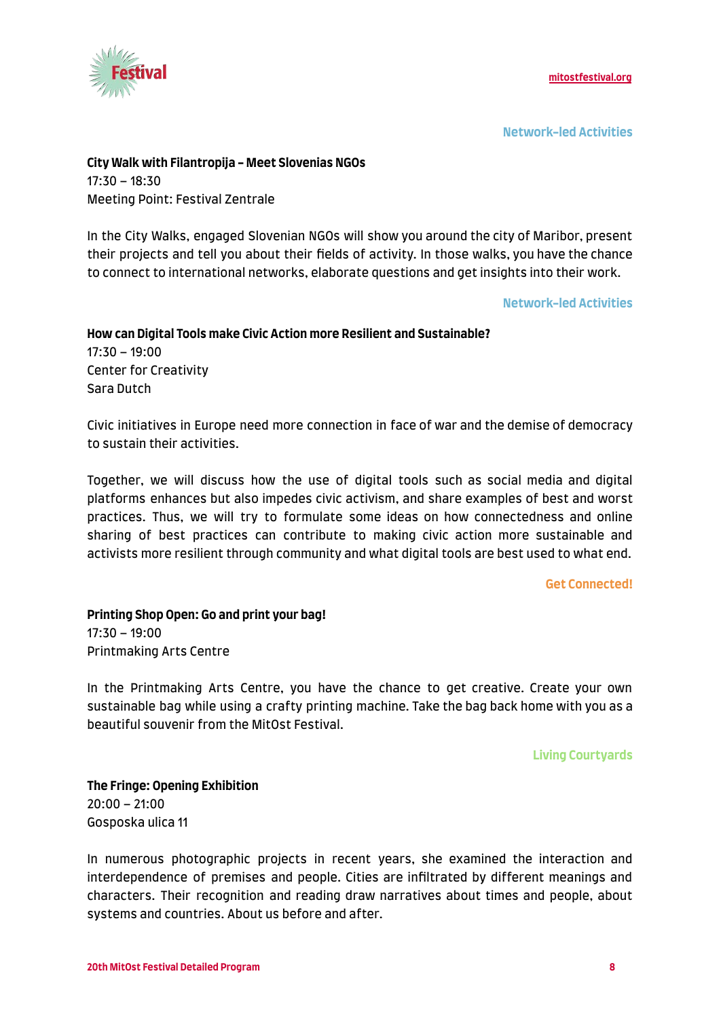

**Network-led Activities**

## **City Walk with Filantropija - Meet Slovenias NGOs** 17:30 – 18:30

Meeting Point: Festival Zentrale

In the City Walks, engaged Slovenian NGOs will show you around the city of Maribor, present their projects and tell you about their fields of activity. In those walks, you have the chance to connect to international networks, elaborate questions and get insights into their work.

**Network-led Activities**

#### **How can Digital Tools make Civic Action more Resilient and Sustainable?** 17:30 – 19:00 Center for Creativity Sara Dutch

Civic initiatives in Europe need more connection in face of war and the demise of democracy to sustain their activities.

Together, we will discuss how the use of digital tools such as social media and digital platforms enhances but also impedes civic activism, and share examples of best and worst practices. Thus, we will try to formulate some ideas on how connectedness and online sharing of best practices can contribute to making civic action more sustainable and activists more resilient through community and what digital tools are best used to what end.

#### **Get Connected!**

**Printing Shop Open: Go and print your bag!** 17:30 – 19:00 Printmaking Arts Centre

In the Printmaking Arts Centre, you have the chance to get creative. Create your own sustainable bag while using a crafty printing machine. Take the bag back home with you as a beautiful souvenir from the MitOst Festival.

**Living Courtyards**

**The Fringe: Opening Exhibition** 20:00 – 21:00 Gosposka ulica 11

In numerous photographic projects in recent years, she examined the interaction and interdependence of premises and people. Cities are infiltrated by different meanings and characters. Their recognition and reading draw narratives about times and people, about systems and countries. About us before and after.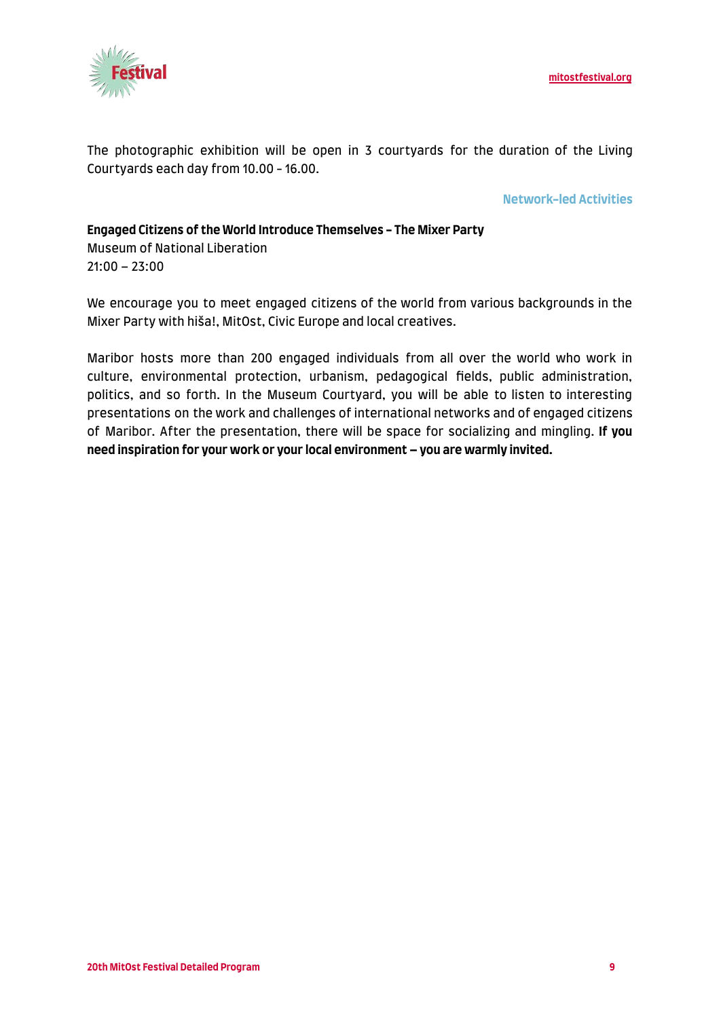

The photographic exhibition will be open in 3 courtyards for the duration of the Living Courtyards each day from 10.00 - 16.00.

#### **Network-led Activities**

#### **Engaged Citizens of the World Introduce Themselves - The Mixer Party** Museum of National Liberation 21:00 – 23:00

We encourage you to meet engaged citizens of the world from various backgrounds in the Mixer Party with hiša!, MitOst, Civic Europe and local creatives.

Maribor hosts more than 200 engaged individuals from all over the world who work in culture, environmental protection, urbanism, pedagogical fields, public administration, politics, and so forth. In the Museum Courtyard, you will be able to listen to interesting presentations on the work and challenges of international networks and of engaged citizens of Maribor. After the presentation, there will be space for socializing and mingling. **If you need inspiration for your work or your local environment – you are warmly invited.**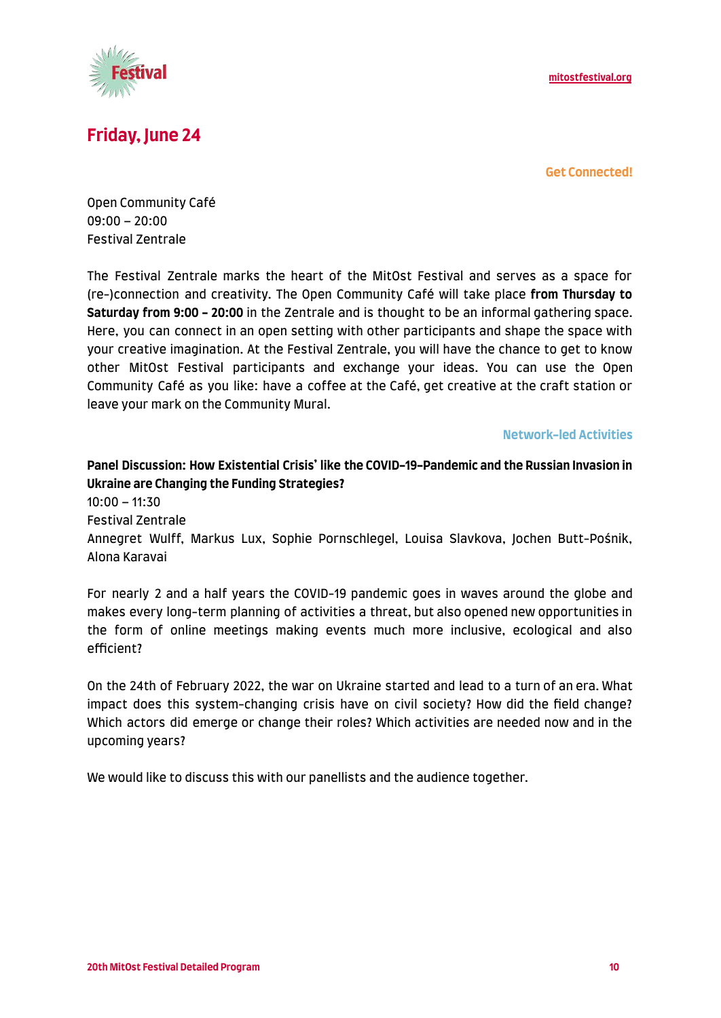

# **Friday, June 24**

**Get Connected!**

Open Community Café 09:00 – 20:00 Festival Zentrale

The Festival Zentrale marks the heart of the MitOst Festival and serves as a space for (re-)connection and creativity. The Open Community Café will take place **from Thursday to Saturday from 9:00 - 20:00** in the Zentrale and is thought to be an informal gathering space. Here, you can connect in an open setting with other participants and shape the space with your creative imagination. At the Festival Zentrale, you will have the chance to get to know other MitOst Festival participants and exchange your ideas. You can use the Open Community Café as you like: have a coffee at the Café, get creative at the craft station or leave your mark on the Community Mural.

**Network-led Activities**

**Panel Discussion: How Existential Crisis' like the COVID-19-Pandemic and the Russian Invasion in Ukraine are Changing the Funding Strategies?** 10:00 – 11:30 Festival Zentrale Annegret Wulff, Markus Lux, Sophie Pornschlegel, Louisa Slavkova, Jochen Butt-Pośnik, Alona Karavai

For nearly 2 and a half years the COVID-19 pandemic goes in waves around the globe and makes every long-term planning of activities a threat, but also opened new opportunities in the form of online meetings making events much more inclusive, ecological and also efficient?

On the 24th of February 2022, the war on Ukraine started and lead to a turn of an era. What impact does this system-changing crisis have on civil society? How did the field change? Which actors did emerge or change their roles? Which activities are needed now and in the upcoming years?

We would like to discuss this with our panellists and the audience together.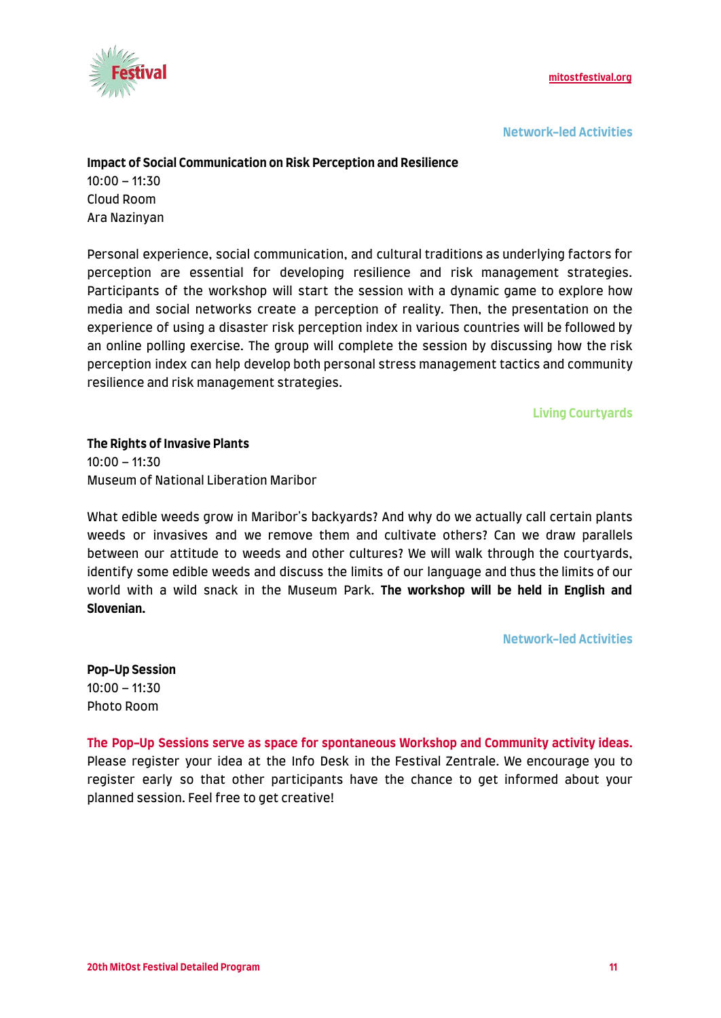

**Network-led Activities**

#### **Impact of Social Communication on Risk Perception and Resilience**

10:00 – 11:30 Cloud Room Ara Nazinyan

Personal experience, social communication, and cultural traditions as underlying factors for perception are essential for developing resilience and risk management strategies. Participants of the workshop will start the session with a dynamic game to explore how media and social networks create a perception of reality. Then, the presentation on the experience of using a disaster risk perception index in various countries will be followed by an online polling exercise. The group will complete the session by discussing how the risk perception index can help develop both personal stress management tactics and community resilience and risk management strategies.

**Living Courtyards**

**The Rights of Invasive Plants**  $10:00 - 11:30$ Museum of National Liberation Maribor

What edible weeds grow in Maribor's backyards? And why do we actually call certain plants weeds or invasives and we remove them and cultivate others? Can we draw parallels between our attitude to weeds and other cultures? We will walk through the courtyards, identify some edible weeds and discuss the limits of our language and thus the limits of our world with a wild snack in the Museum Park. **The workshop will be held in English and Slovenian.**

**Network-led Activities**

**Pop-Up Session** 10:00 – 11:30 Photo Room

**The Pop-Up Sessions serve as space for spontaneous Workshop and Community activity ideas.** Please register your idea at the Info Desk in the Festival Zentrale. We encourage you to register early so that other participants have the chance to get informed about your planned session. Feel free to get creative!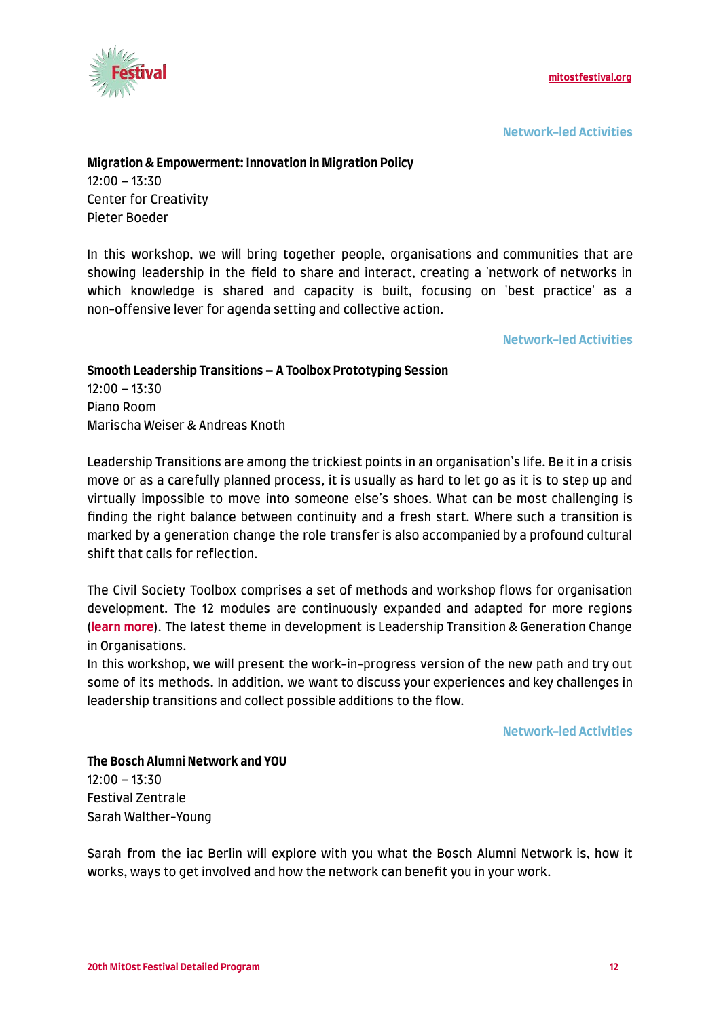

**Network-led Activities**

#### **Migration & Empowerment: Innovation in Migration Policy**

 $12:00 - 13:30$ Center for Creativity Pieter Boeder

In this workshop, we will bring together people, organisations and communities that are showing leadership in the field to share and interact, creating a 'network of networks in which knowledge is shared and capacity is built, focusing on 'best practice' as a non-offensive lever for agenda setting and collective action.

**Network-led Activities**

**Smooth Leadership Transitions – A Toolbox Prototyping Session** 12:00 – 13:30 Piano Room Marischa Weiser & Andreas Knoth

Leadership Transitions are among the trickiest points in an organisation's life. Be it in a crisis move or as a carefully planned process, it is usually as hard to let go as it is to step up and virtually impossible to move into someone else's shoes. What can be most challenging is finding the right balance between continuity and a fresh start. Where such a transition is marked by a generation change the role transfer is also accompanied by a profound cultural shift that calls for reflection.

The Civil Society Toolbox comprises a set of methods and workshop flows for organisation development. The 12 modules are continuously expanded and adapted for more regions (**[learn more](https://civilsocietytoolbox.org)**). The latest theme in development is Leadership Transition & Generation Change in Organisations.

In this workshop, we will present the work-in-progress version of the new path and try out some of its methods. In addition, we want to discuss your experiences and key challenges in leadership transitions and collect possible additions to the flow.

**Network-led Activities**

**The Bosch Alumni Network and YOU** 12:00 – 13:30 Festival Zentrale Sarah Walther-Young

Sarah from the iac Berlin will explore with you what the Bosch Alumni Network is, how it works, ways to get involved and how the network can benefit you in your work.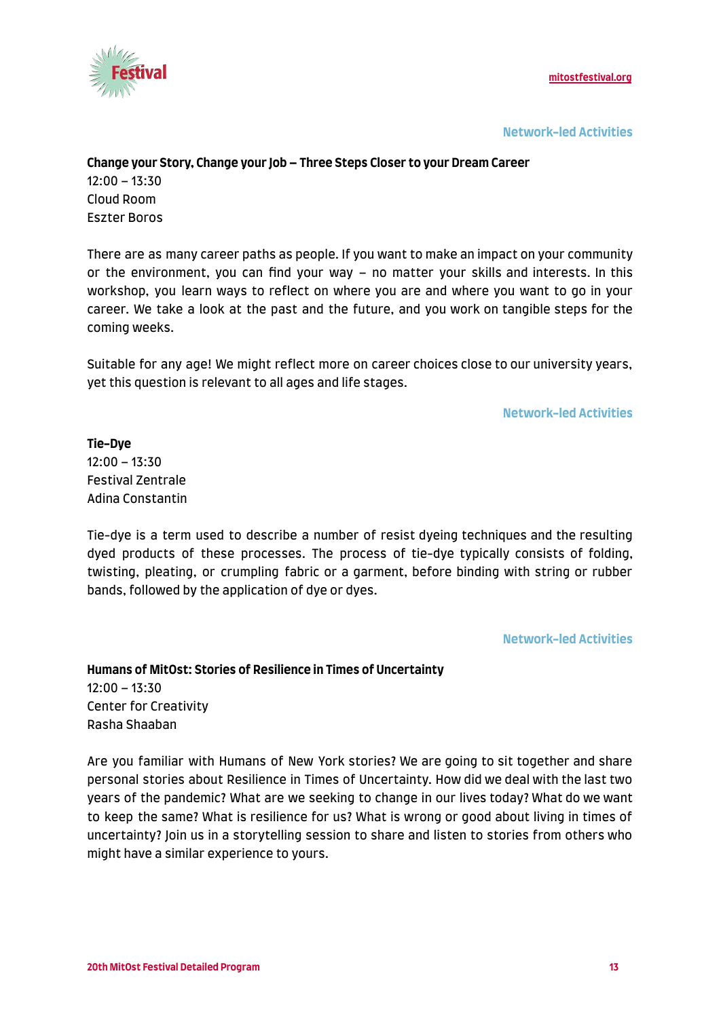

**Network-led Activities**

#### **Change your Story, Change your Job – Three Steps Closer to your Dream Career**

 $12:00 - 13:30$ Cloud Room Eszter Boros

There are as many career paths as people. If you want to make an impact on your community or the environment, you can find your way – no matter your skills and interests. In this workshop, you learn ways to reflect on where you are and where you want to go in your career. We take a look at the past and the future, and you work on tangible steps for the coming weeks.

Suitable for any age! We might reflect more on career choices close to our university years, yet this question is relevant to all ages and life stages.

**Network-led Activities**

**Tie-Dye** 12:00 – 13:30 Festival Zentrale Adina Constantin

Tie-dye is a term used to describe a number of resist dyeing techniques and the resulting dyed products of these processes. The process of tie-dye typically consists of folding, twisting, pleating, or crumpling fabric or a garment, before binding with string or rubber bands, followed by the application of dye or dyes.

**Network-led Activities**

**Humans of MitOst: Stories of Resilience in Times of Uncertainty** 12:00 – 13:30 Center for Creativity Rasha Shaaban

Are you familiar with Humans of New York stories? We are going to sit together and share personal stories about Resilience in Times of Uncertainty. How did we deal with the last two years of the pandemic? What are we seeking to change in our lives today? What do we want to keep the same? What is resilience for us? What is wrong or good about living in times of uncertainty? Join us in a storytelling session to share and listen to stories from others who might have a similar experience to yours.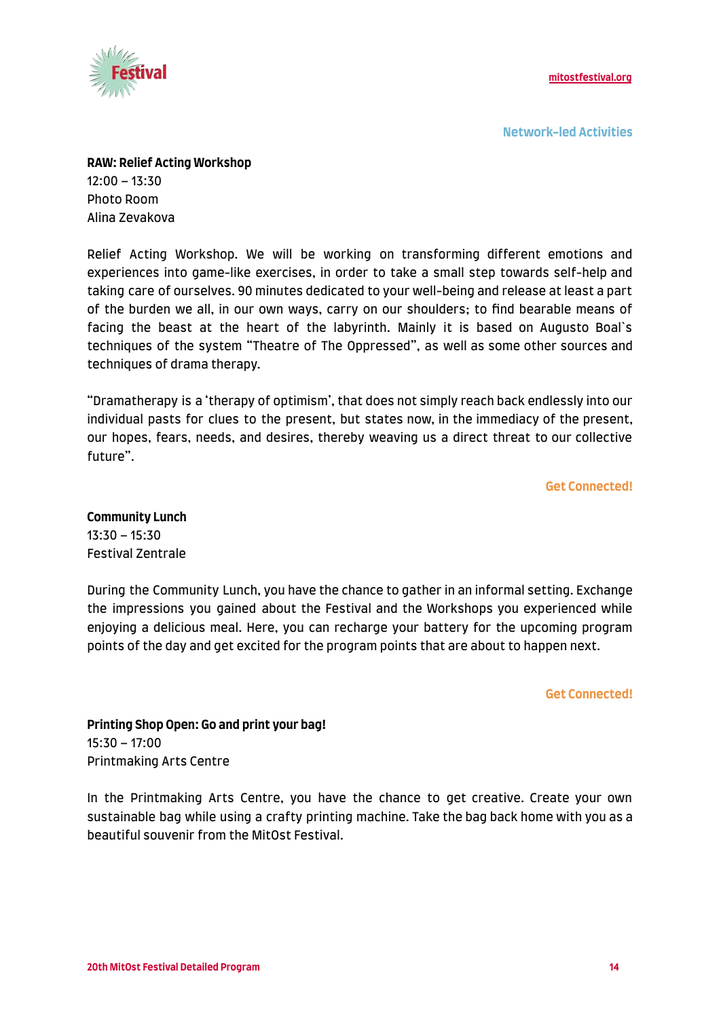

**Network-led Activities**

**RAW: Relief Acting Workshop**  $12:00 - 13:30$ Photo Room

Alina Zevakova

Relief Acting Workshop. We will be working on transforming different emotions and experiences into game-like exercises, in order to take a small step towards self-help and taking care of ourselves. 90 minutes dedicated to your well-being and release at least a part of the burden we all, in our own ways, carry on our shoulders; to find bearable means of facing the beast at the heart of the labyrinth. Mainly it is based on Augusto Boal`s techniques of the system "Theatre of The Oppressed", as well as some other sources and techniques of drama therapy.

"Dramatherapy is a 'therapy of optimism', that does not simply reach back endlessly into our individual pasts for clues to the present, but states now, in the immediacy of the present, our hopes, fears, needs, and desires, thereby weaving us a direct threat to our collective future".

**Get Connected!**

**Community Lunch** 13:30 – 15:30 Festival Zentrale

During the Community Lunch, you have the chance to gather in an informal setting. Exchange the impressions you gained about the Festival and the Workshops you experienced while enjoying a delicious meal. Here, you can recharge your battery for the upcoming program points of the day and get excited for the program points that are about to happen next.

**Get Connected!**

**Printing Shop Open: Go and print your bag!** 15:30 – 17:00 Printmaking Arts Centre

In the Printmaking Arts Centre, you have the chance to get creative. Create your own sustainable bag while using a crafty printing machine. Take the bag back home with you as a beautiful souvenir from the MitOst Festival.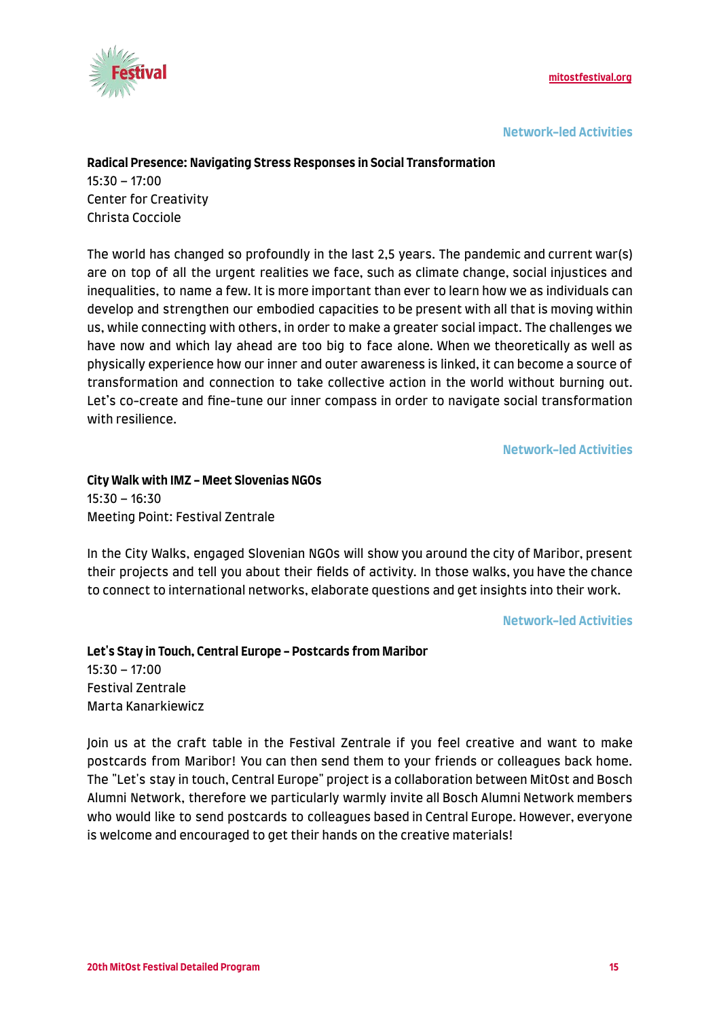

**Network-led Activities**

#### **Radical Presence: Navigating Stress Responses in Social Transformation**

15:30 – 17:00 Center for Creativity Christa Cocciole

The world has changed so profoundly in the last 2,5 years. The pandemic and current war(s) are on top of all the urgent realities we face, such as climate change, social injustices and inequalities, to name a few. It is more important than ever to learn how we as individuals can develop and strengthen our embodied capacities to be present with all that is moving within us, while connecting with others, in order to make a greater social impact. The challenges we have now and which lay ahead are too big to face alone. When we theoretically as well as physically experience how our inner and outer awareness is linked, it can become a source of transformation and connection to take collective action in the world without burning out. Let's co-create and fine-tune our inner compass in order to navigate social transformation with resilience.

**Network-led Activities**

**City Walk with IMZ - Meet Slovenias NGOs** 15:30 – 16:30 Meeting Point: Festival Zentrale

In the City Walks, engaged Slovenian NGOs will show you around the city of Maribor, present their projects and tell you about their fields of activity. In those walks, you have the chance to connect to international networks, elaborate questions and get insights into their work.

#### **Network-led Activities**

**Let's Stay in Touch, Central Europe - Postcards from Maribor**  $15:30 - 17:00$ Festival Zentrale Marta Kanarkiewicz

Join us at the craft table in the Festival Zentrale if you feel creative and want to make postcards from Maribor! You can then send them to your friends or colleagues back home. The "Let's stay in touch, Central Europe" project is a collaboration between MitOst and Bosch Alumni Network, therefore we particularly warmly invite all Bosch Alumni Network members who would like to send postcards to colleagues based in Central Europe. However, everyone is welcome and encouraged to get their hands on the creative materials!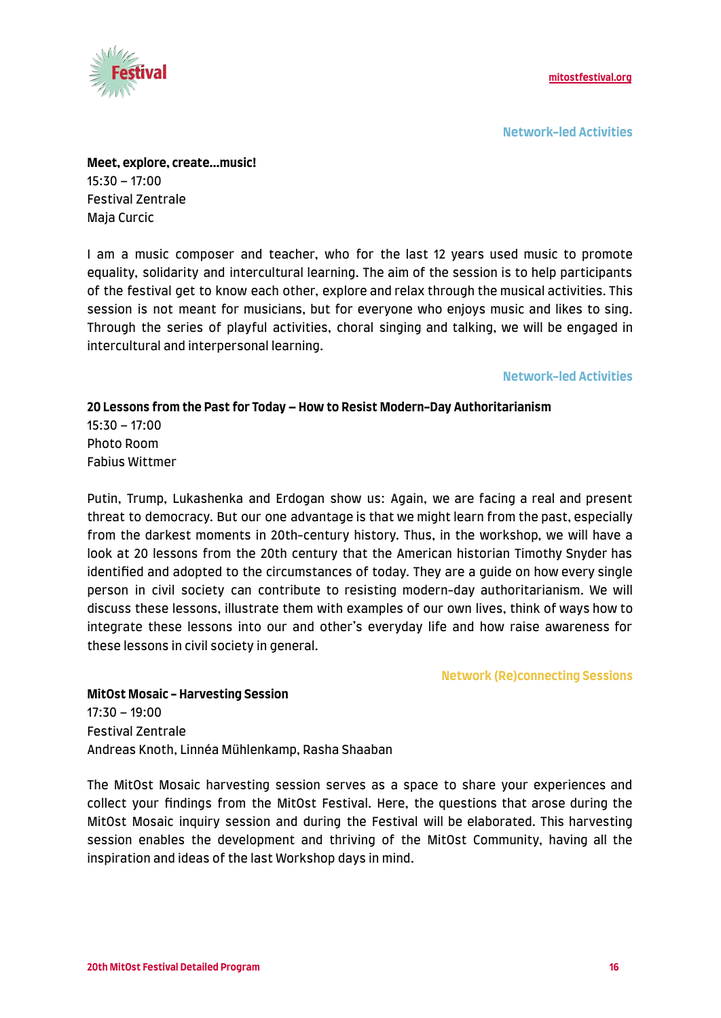

**Network-led Activities**

**Meet, explore, create...music!** 15:30 – 17:00 Festival Zentrale Maja Curcic

I am a music composer and teacher, who for the last 12 years used music to promote equality, solidarity and intercultural learning. The aim of the session is to help participants of the festival get to know each other, explore and relax through the musical activities. This session is not meant for musicians, but for everyone who enjoys music and likes to sing. Through the series of playful activities, choral singing and talking, we will be engaged in intercultural and interpersonal learning.

#### **Network-led Activities**

**20 Lessons from the Past for Today – How to Resist Modern-Day Authoritarianism** 15:30 – 17:00 Photo Room Fabius Wittmer

Putin, Trump, Lukashenka and Erdogan show us: Again, we are facing a real and present threat to democracy. But our one advantage is that we might learn from the past, especially from the darkest moments in 20th-century history. Thus, in the workshop, we will have a look at 20 lessons from the 20th century that the American historian Timothy Snyder has identified and adopted to the circumstances of today. They are a guide on how every single person in civil society can contribute to resisting modern-day authoritarianism. We will discuss these lessons, illustrate them with examples of our own lives, think of ways how to integrate these lessons into our and other's everyday life and how raise awareness for these lessons in civil society in general.

#### **Network (Re)connecting Sessions**

**MitOst Mosaic - Harvesting Session** 17:30 – 19:00 Festival Zentrale Andreas Knoth, Linnéa Mühlenkamp, Rasha Shaaban

The MitOst Mosaic harvesting session serves as a space to share your experiences and collect your findings from the MitOst Festival. Here, the questions that arose during the MitOst Mosaic inquiry session and during the Festival will be elaborated. This harvesting session enables the development and thriving of the MitOst Community, having all the inspiration and ideas of the last Workshop days in mind.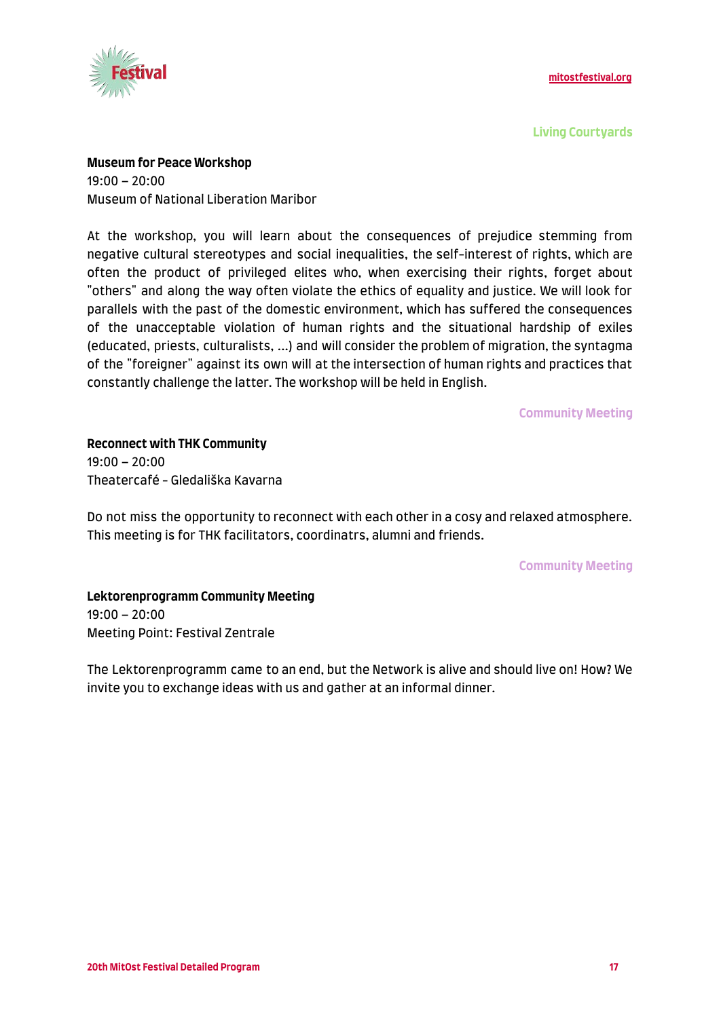

**Living Courtyards**

**Museum for Peace Workshop**

19:00 – 20:00 Museum of National Liberation Maribor

At the workshop, you will learn about the consequences of prejudice stemming from negative cultural stereotypes and social inequalities, the self-interest of rights, which are often the product of privileged elites who, when exercising their rights, forget about "others" and along the way often violate the ethics of equality and justice. We will look for parallels with the past of the domestic environment, which has suffered the consequences of the unacceptable violation of human rights and the situational hardship of exiles (educated, priests, culturalists, ...) and will consider the problem of migration, the syntagma of the "foreigner" against its own will at the intersection of human rights and practices that constantly challenge the latter. The workshop will be held in English.

**Community Meeting**

**Reconnect with THK Community**  $19:00 - 20:00$ Theatercafé - Gledališka Kavarna

Do not miss the opportunity to reconnect with each other in a cosy and relaxed atmosphere. This meeting is for THK facilitators, coordinatrs, alumni and friends.

**Community Meeting**

**Lektorenprogramm Community Meeting** 19:00 – 20:00 Meeting Point: Festival Zentrale

The Lektorenprogramm came to an end, but the Network is alive and should live on! How? We invite you to exchange ideas with us and gather at an informal dinner.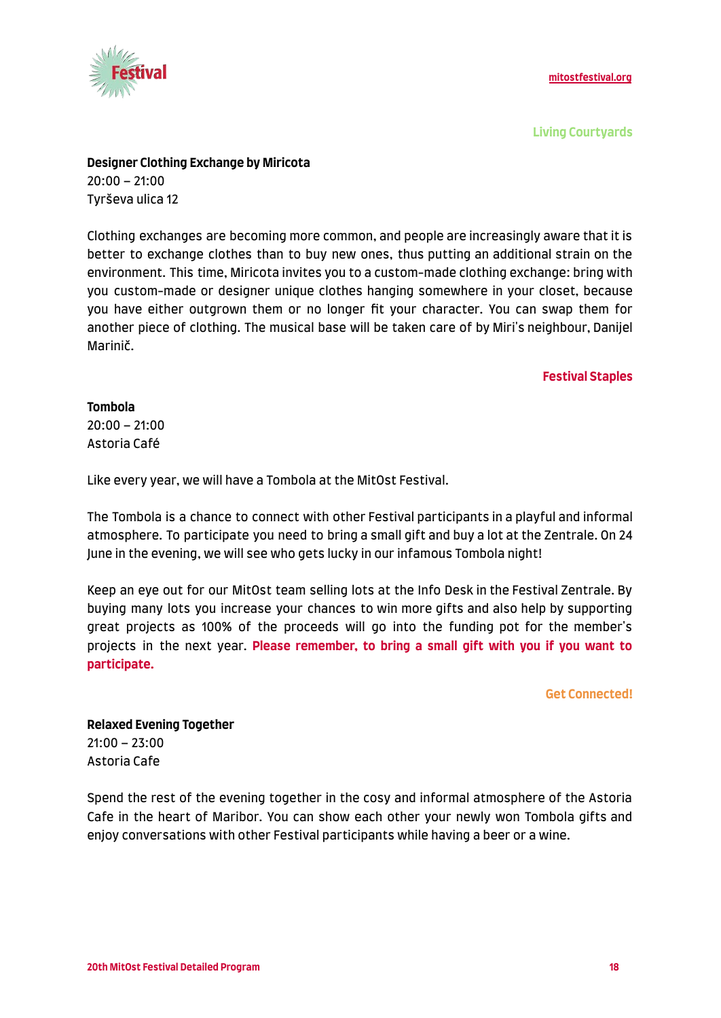

**Living Courtyards**

#### **Designer Clothing Exchange by Miricota**

20:00 – 21:00 Tyrševa ulica 12

Clothing exchanges are becoming more common, and people are increasingly aware that it is better to exchange clothes than to buy new ones, thus putting an additional strain on the environment. This time, Miricota invites you to a custom-made clothing exchange: bring with you custom-made or designer unique clothes hanging somewhere in your closet, because you have either outgrown them or no longer fit your character. You can swap them for another piece of clothing. The musical base will be taken care of by Miri's neighbour, Danijel Marinič.

#### **Festival Staples**

#### **Tombola**

 $20:00 - 21:00$ Astoria Café

Like every year, we will have a Tombola at the MitOst Festival.

The Tombola is a chance to connect with other Festival participants in a playful and informal atmosphere. To participate you need to bring a small gift and buy a lot at the Zentrale. On 24 June in the evening, we will see who gets lucky in our infamous Tombola night!

Keep an eye out for our MitOst team selling lots at the Info Desk in the Festival Zentrale. By buying many lots you increase your chances to win more gifts and also help by supporting great projects as 100% of the proceeds will go into the funding pot for the member's projects in the next year. **Please remember, to bring a small gift with you if you want to participate.**

**Get Connected!**

**Relaxed Evening Together** 21:00 – 23:00 Astoria Cafe

Spend the rest of the evening together in the cosy and informal atmosphere of the Astoria Cafe in the heart of Maribor. You can show each other your newly won Tombola gifts and enjoy conversations with other Festival participants while having a beer or a wine.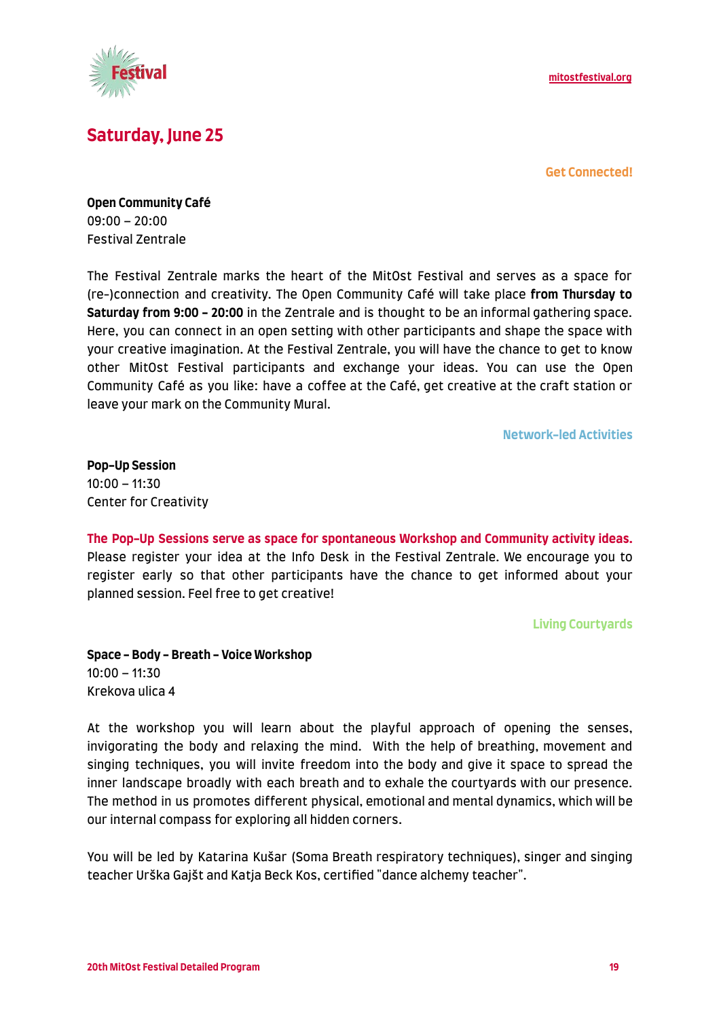

# **Saturday, June 25**

**Get Connected!**

**Open Community Café** 09:00 – 20:00 Festival Zentrale

The Festival Zentrale marks the heart of the MitOst Festival and serves as a space for (re-)connection and creativity. The Open Community Café will take place **from Thursday to Saturday from 9:00 - 20:00** in the Zentrale and is thought to be an informal gathering space. Here, you can connect in an open setting with other participants and shape the space with your creative imagination. At the Festival Zentrale, you will have the chance to get to know other MitOst Festival participants and exchange your ideas. You can use the Open Community Café as you like: have a coffee at the Café, get creative at the craft station or leave your mark on the Community Mural.

**Network-led Activities**

**Pop-Up Session** 10:00 – 11:30 Center for Creativity

**The Pop-Up Sessions serve as space for spontaneous Workshop and Community activity ideas.** Please register your idea at the Info Desk in the Festival Zentrale. We encourage you to register early so that other participants have the chance to get informed about your planned session. Feel free to get creative!

**Living Courtyards**

**Space - Body - Breath - Voice Workshop** 10:00 – 11:30 Krekova ulica 4

At the workshop you will learn about the playful approach of opening the senses, invigorating the body and relaxing the mind. With the help of breathing, movement and singing techniques, you will invite freedom into the body and give it space to spread the inner landscape broadly with each breath and to exhale the courtyards with our presence. The method in us promotes different physical, emotional and mental dynamics, which will be our internal compass for exploring all hidden corners.

You will be led by Katarina Kušar (Soma Breath respiratory techniques), singer and singing teacher Urška Gajšt and Katja Beck Kos, certified "dance alchemy teacher".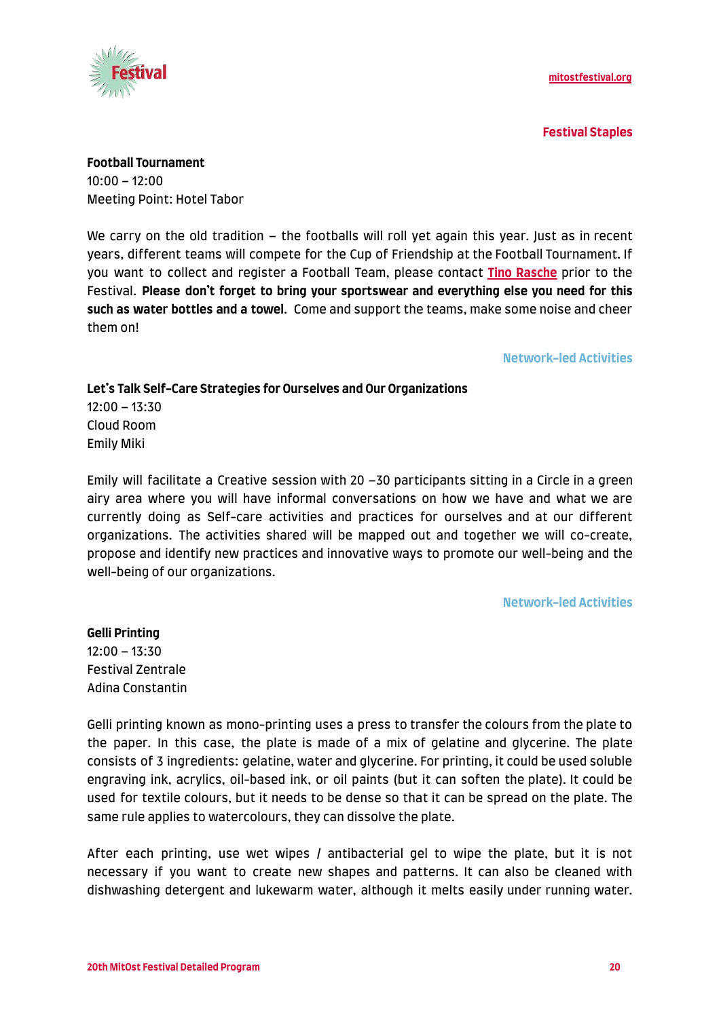

**Festival Staples**

**Football Tournament** 10:00 – 12:00 Meeting Point: Hotel Tabor

We carry on the old tradition – the footballs will roll yet again this year. Just as in recent years, different teams will compete for the Cup of Friendship at the Football Tournament. If you want to collect and register a Football Team, please contact **[Tino Rasche](mailto:tinorasche@gmx.de)** prior to the Festival. **Please don't forget to bring your sportswear and everything else you need for this such as water bottles and a towel**. Come and support the teams, make some noise and cheer them on!

#### **Network-led Activities**

**Let's Talk Self-Care Strategies for Ourselves and Our Organizations** 12:00 – 13:30 Cloud Room Emily Miki

Emily will facilitate a Creative session with 20 –30 participants sitting in a Circle in a green airy area where you will have informal conversations on how we have and what we are currently doing as Self-care activities and practices for ourselves and at our different organizations. The activities shared will be mapped out and together we will co-create, propose and identify new practices and innovative ways to promote our well-being and the well-being of our organizations.

#### **Network-led Activities**

**Gelli Printing** 12:00 – 13:30 Festival Zentrale Adina Constantin

Gelli printing known as mono-printing uses a press to transfer the colours from the plate to the paper. In this case, the plate is made of a mix of gelatine and glycerine. The plate consists of 3 ingredients: gelatine, water and glycerine. For printing, it could be used soluble engraving ink, acrylics, oil-based ink, or oil paints (but it can soften the plate). It could be used for textile colours, but it needs to be dense so that it can be spread on the plate. The same rule applies to watercolours, they can dissolve the plate.

After each printing, use wet wipes / antibacterial gel to wipe the plate, but it is not necessary if you want to create new shapes and patterns. It can also be cleaned with dishwashing detergent and lukewarm water, although it melts easily under running water.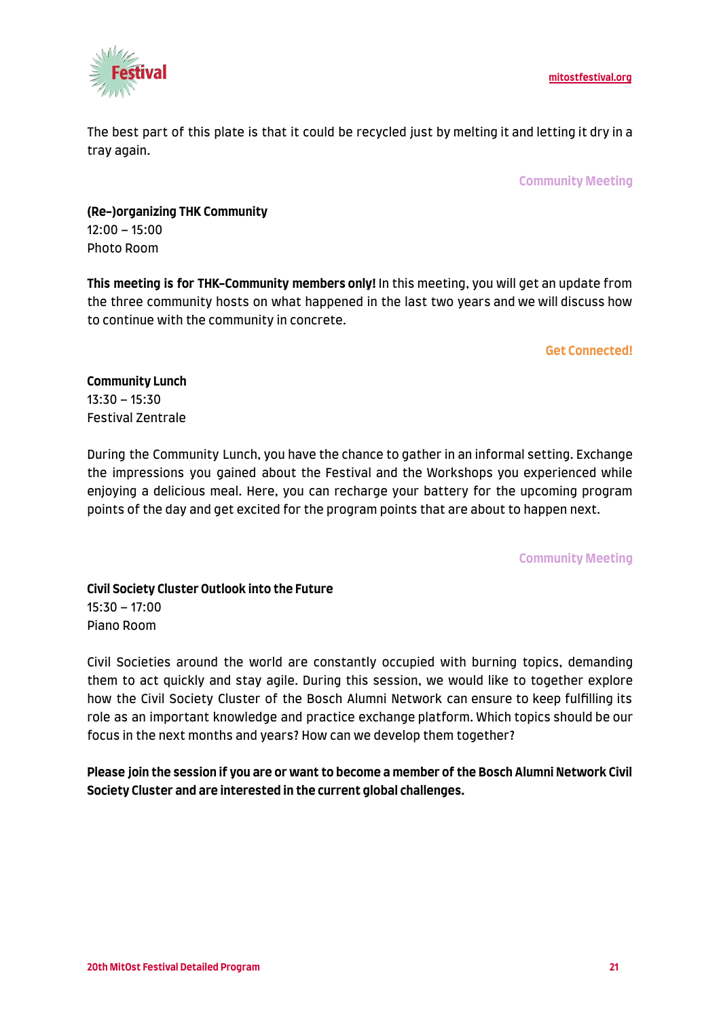

The best part of this plate is that it could be recycled just by melting it and letting it dry in a tray again.

**Community Meeting**

**(Re-)organizing THK Community** 12:00 – 15:00 Photo Room

**This meeting is for THK-Community members only!** In this meeting, you will get an update from the three community hosts on what happened in the last two years and we will discuss how to continue with the community in concrete.

#### **Get Connected!**

**Community Lunch** 13:30 – 15:30 Festival Zentrale

During the Community Lunch, you have the chance to gather in an informal setting. Exchange the impressions you gained about the Festival and the Workshops you experienced while enjoying a delicious meal. Here, you can recharge your battery for the upcoming program points of the day and get excited for the program points that are about to happen next.

**Community Meeting**

**Civil Society Cluster Outlook into the Future** 15:30 – 17:00 Piano Room

Civil Societies around the world are constantly occupied with burning topics, demanding them to act quickly and stay agile. During this session, we would like to together explore how the Civil Society Cluster of the Bosch Alumni Network can ensure to keep fulfilling its role as an important knowledge and practice exchange platform. Which topics should be our focus in the next months and years? How can we develop them together?

**Please join the session if you are or want to become a member of the Bosch Alumni Network Civil Society Cluster and are interested in the current global challenges.**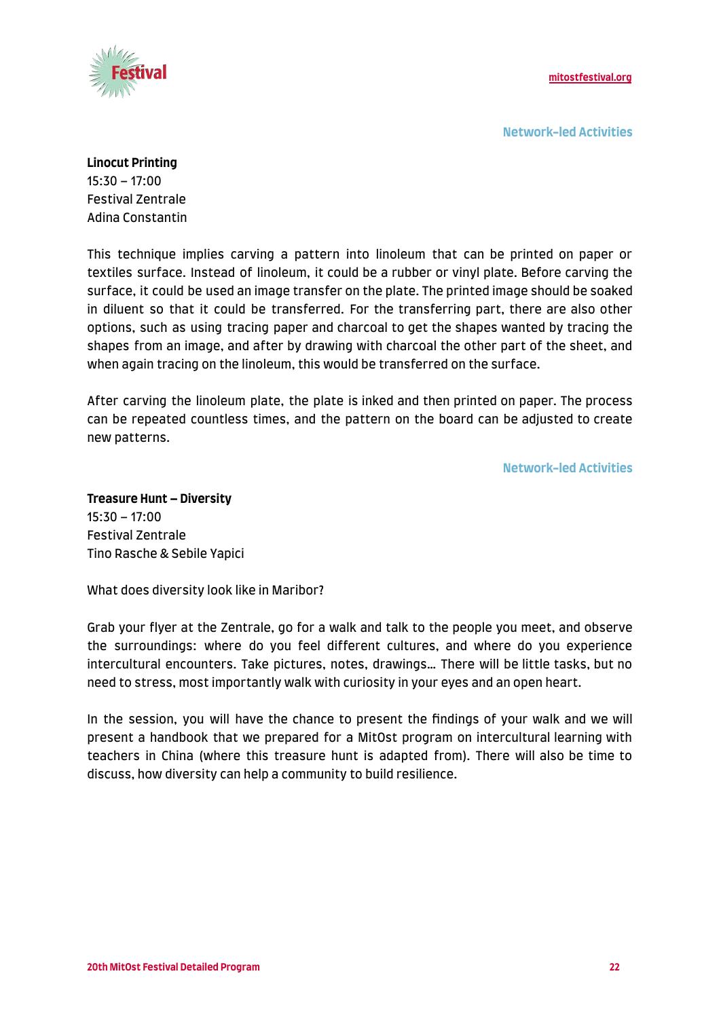

**Network-led Activities**

#### **Linocut Printing**

15:30 – 17:00 Festival Zentrale Adina Constantin

This technique implies carving a pattern into linoleum that can be printed on paper or textiles surface. Instead of linoleum, it could be a rubber or vinyl plate. Before carving the surface, it could be used an image transfer on the plate. The printed image should be soaked in diluent so that it could be transferred. For the transferring part, there are also other options, such as using tracing paper and charcoal to get the shapes wanted by tracing the shapes from an image, and after by drawing with charcoal the other part of the sheet, and when again tracing on the linoleum, this would be transferred on the surface.

After carving the linoleum plate, the plate is inked and then printed on paper. The process can be repeated countless times, and the pattern on the board can be adjusted to create new patterns.

**Network-led Activities**

**Treasure Hunt – Diversity** 15:30 – 17:00 Festival Zentrale Tino Rasche & Sebile Yapici

What does diversity look like in Maribor?

Grab your flyer at the Zentrale, go for a walk and talk to the people you meet, and observe the surroundings: where do you feel different cultures, and where do you experience intercultural encounters. Take pictures, notes, drawings… There will be little tasks, but no need to stress, most importantly walk with curiosity in your eyes and an open heart.

In the session, you will have the chance to present the findings of your walk and we will present a handbook that we prepared for a MitOst program on intercultural learning with teachers in China (where this treasure hunt is adapted from). There will also be time to discuss, how diversity can help a community to build resilience.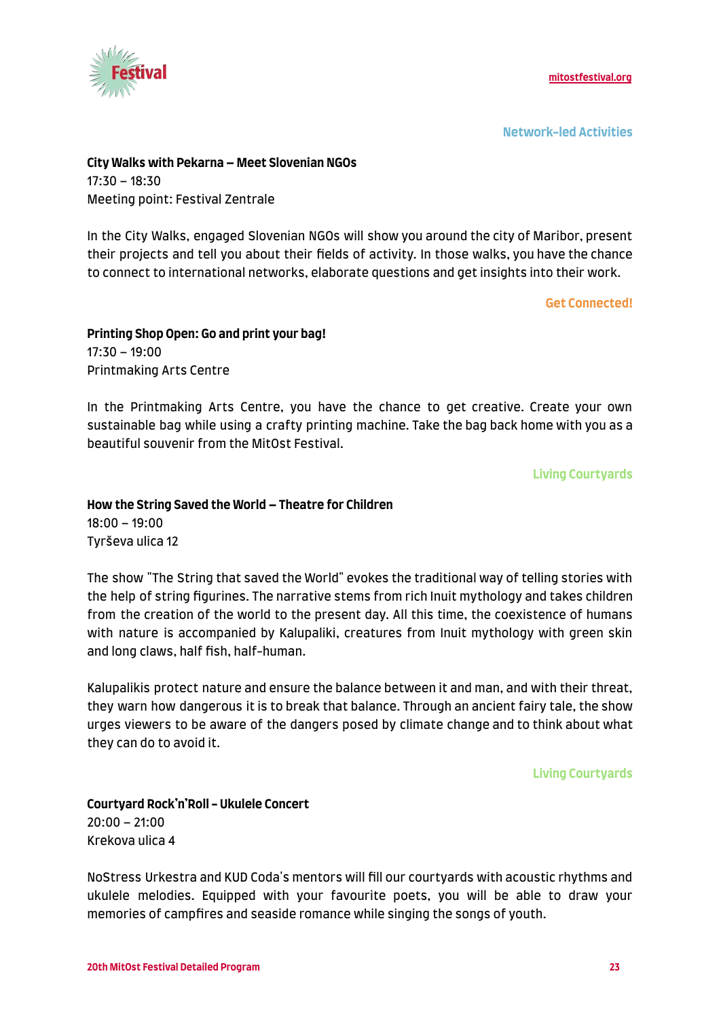

**Network-led Activities**

#### **City Walks with Pekarna – Meet Slovenian NGOs** 17:30 – 18:30 Meeting point: Festival Zentrale

In the City Walks, engaged Slovenian NGOs will show you around the city of Maribor, present their projects and tell you about their fields of activity. In those walks, you have the chance to connect to international networks, elaborate questions and get insights into their work.

**Get Connected!**

#### **Printing Shop Open: Go and print your bag!** 17:30 – 19:00 Printmaking Arts Centre

In the Printmaking Arts Centre, you have the chance to get creative. Create your own sustainable bag while using a crafty printing machine. Take the bag back home with you as a beautiful souvenir from the MitOst Festival.

**Living Courtyards**

#### **How the String Saved the World – Theatre for Children** 18:00 – 19:00 Tyrševa ulica 12

The show "The String that saved the World" evokes the traditional way of telling stories with the help of string figurines. The narrative stems from rich Inuit mythology and takes children from the creation of the world to the present day. All this time, the coexistence of humans with nature is accompanied by Kalupaliki, creatures from Inuit mythology with green skin and long claws, half fish, half-human.

Kalupalikis protect nature and ensure the balance between it and man, and with their threat, they warn how dangerous it is to break that balance. Through an ancient fairy tale, the show urges viewers to be aware of the dangers posed by climate change and to think about what they can do to avoid it.

**Living Courtyards**

#### **Courtyard Rock'n'Roll - Ukulele Concert**  $20:00 - 21:00$ Krekova ulica 4

NoStress Urkestra and KUD Coda's mentors will fill our courtyards with acoustic rhythms and ukulele melodies. Equipped with your favourite poets, you will be able to draw your memories of campfires and seaside romance while singing the songs of youth.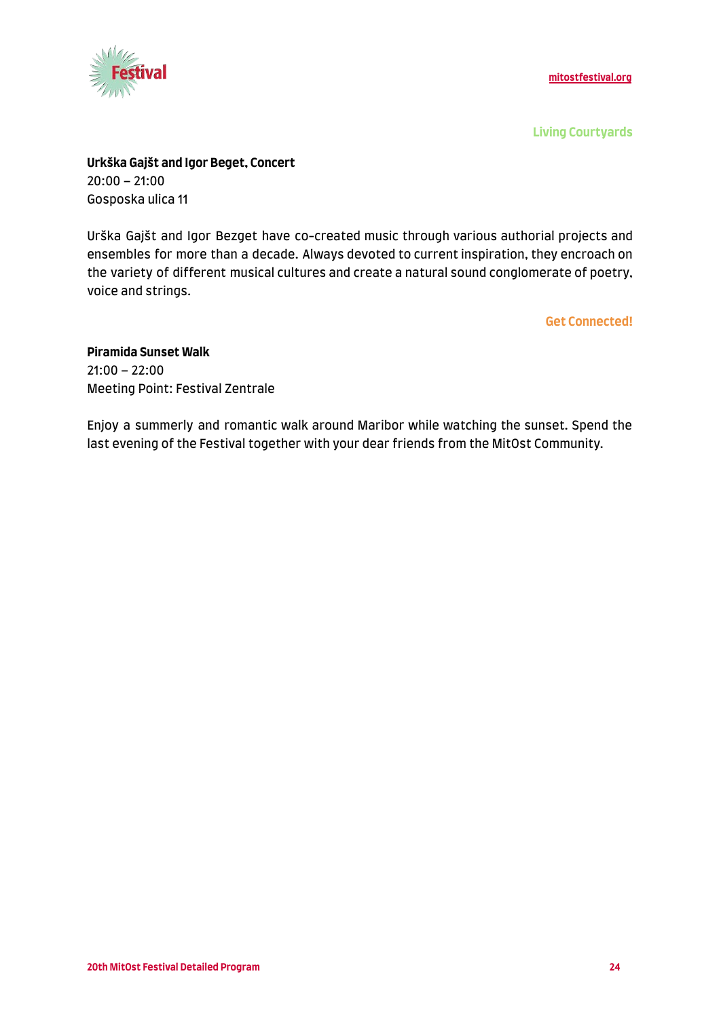

**Living Courtyards**

**Urkška Gajšt and Igor Beget, Concert** 20:00 – 21:00 Gosposka ulica 11

Urška Gajšt and Igor Bezget have co-created music through various authorial projects and ensembles for more than a decade. Always devoted to current inspiration, they encroach on the variety of different musical cultures and create a natural sound conglomerate of poetry, voice and strings.

**Get Connected!**

# **Piramida Sunset Walk**

21:00 – 22:00 Meeting Point: Festival Zentrale

Enjoy a summerly and romantic walk around Maribor while watching the sunset. Spend the last evening of the Festival together with your dear friends from the MitOst Community.